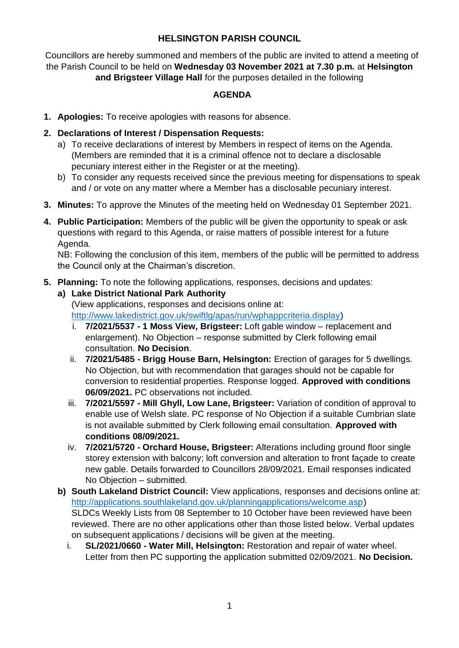# **HELSINGTON PARISH COUNCIL**

Councillors are hereby summoned and members of the public are invited to attend a meeting of the Parish Council to be held on **Wednesday 03 November 2021 at 7.30 p.m.** at **Helsington and Brigsteer Village Hall** for the purposes detailed in the following

## **AGENDA**

- **1. Apologies:** To receive apologies with reasons for absence.
- **2. Declarations of Interest / Dispensation Requests:**
	- a) To receive declarations of interest by Members in respect of items on the Agenda. (Members are reminded that it is a criminal offence not to declare a disclosable pecuniary interest either in the Register or at the meeting).
	- b) To consider any requests received since the previous meeting for dispensations to speak and / or vote on any matter where a Member has a disclosable pecuniary interest.
- **3. Minutes:** To approve the Minutes of the meeting held on Wednesday 01 September 2021.
- **4. Public Participation:** Members of the public will be given the opportunity to speak or ask questions with regard to this Agenda, or raise matters of possible interest for a future Agenda.

NB: Following the conclusion of this item, members of the public will be permitted to address the Council only at the Chairman's discretion.

**5. Planning:** To note the following applications, responses, decisions and updates:

### **a) Lake District National Park Authority**

(View applications, responses and decisions online at: [http://www.lakedistrict.gov.uk/swiftlg/apas/run/wphappcriteria.display\)](http://www.lakedistrict.gov.uk/swiftlg/apas/run/wphappcriteria.display)

- i. **7/2021/5537 - 1 Moss View, Brigsteer:** Loft gable window replacement and enlargement). No Objection – response submitted by Clerk following email consultation. **No Decision**.
- ii. **7/2021/5485 - Brigg House Barn, Helsington:** Erection of garages for 5 dwellings. No Objection, but with recommendation that garages should not be capable for conversion to residential properties. Response logged. **Approved with conditions 06/09/2021.** PC observations not included.
- iii. **7/2021/5597 - Mill Ghyll, Low Lane, Brigsteer:** Variation of condition of approval to enable use of Welsh slate. PC response of No Objection if a suitable Cumbrian slate is not available submitted by Clerk following email consultation. **Approved with conditions 08/09/2021.**
- iv. **7/2021/5720 - Orchard House, Brigsteer:** Alterations including ground floor single storey extension with balcony; loft conversion and alteration to front façade to create new gable. Details forwarded to Councillors 28/09/2021. Email responses indicated No Objection – submitted.
- **b) South Lakeland District Council:** View applications, responses and decisions online at: [http://applications.southlakeland.gov.uk/planningapplications/welcome.asp\)](http://applications.southlakeland.gov.uk/planningapplications/welcome.asp) SLDCs Weekly Lists from 08 September to 10 October have been reviewed have been reviewed. There are no other applications other than those listed below. Verbal updates on subsequent applications / decisions will be given at the meeting.
	- i. **SL/2021/0660 - Water Mill, Helsington:** Restoration and repair of water wheel. Letter from then PC supporting the application submitted 02/09/2021. **No Decision.**